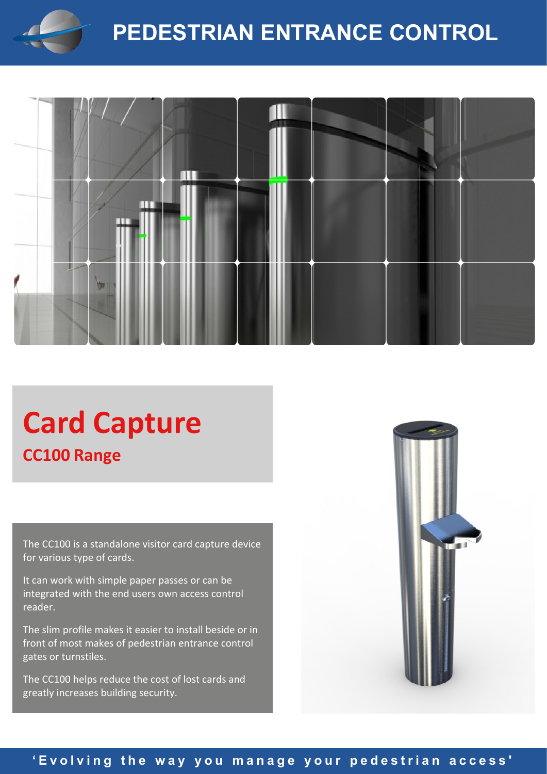

# **PEDESTRIAN ENTRANCE CONTROL**



# **Card Capture CC100 Range**

The CC100 is a standalone visitor card capture device for various type of cards.

It can work with simple paper passes or can be integrated with the end users own access control reader.

The slim profile makes it easier to install beside or in front of most makes of pedestrian entrance control gates or turnstiles.

The CC100 helps reduce the cost of lost cards and greatly increases building security.



# 'Evolving the way you manage your pedestrian access'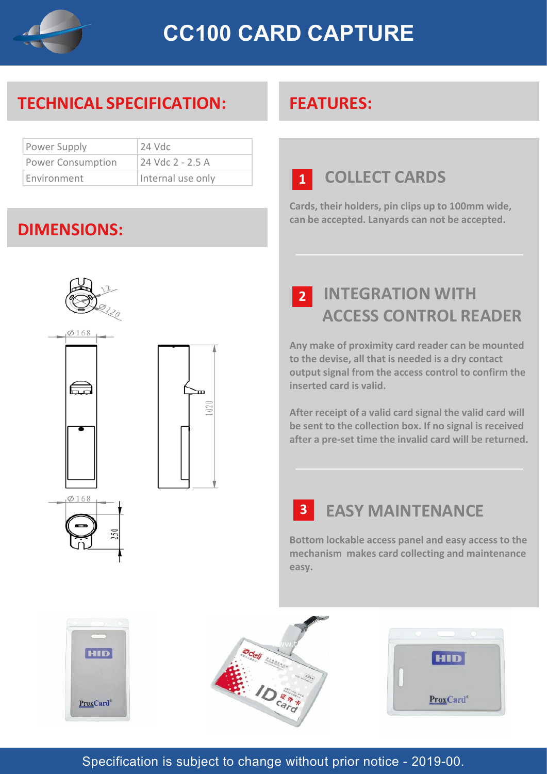

# **TECHNICAL SPECIFICATION: FEATURES:**

| Power Supply             | $24$ Vdc          |
|--------------------------|-------------------|
| <b>Power Consumption</b> | 24 Vdc 2 - 2.5 A  |
| Environment              | Internal use only |

# **DIMENSIONS:**



# $020$

# **COLLECT CARDS 1**

**Cards, their holders, pin clips up to 100mm wide, can be accepted. Lanyards can not be accepted.**

 **INTEGRATION WITH ACCESS CONTROL READER 2**

**Any make of proximity card reader can be mounted to the devise, all that is needed is a dry contact output signal from the access control to confirm the inserted card is valid.**

**After receipt of a valid card signal the valid card will be sent to the collection box. If no signal is received after a pre-set time the invalid card will be returned.**

# **EASY MAINTENANCE 3**

**Bottom lockable access panel and easy access to the mechanism makes card collecting and maintenance easy.**